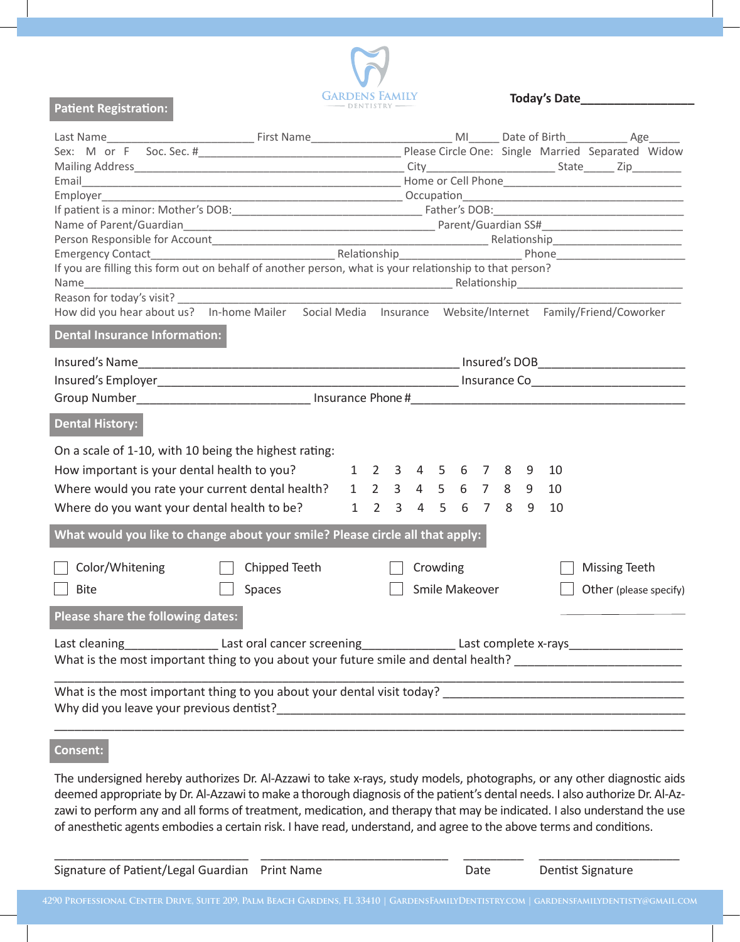

 **Today's Date\_\_\_\_\_\_\_\_\_\_\_\_\_\_\_\_\_**

| Emergency Contact<br>If you are filling this form out on behalf of another person, what is your relationship to that person?<br>If you are filling this form out on behalf of another person, what is your relationship to that pe |               |  |  |  |          |  |                |  |  |    |                        |  |
|------------------------------------------------------------------------------------------------------------------------------------------------------------------------------------------------------------------------------------|---------------|--|--|--|----------|--|----------------|--|--|----|------------------------|--|
|                                                                                                                                                                                                                                    |               |  |  |  |          |  |                |  |  |    |                        |  |
|                                                                                                                                                                                                                                    |               |  |  |  |          |  |                |  |  |    |                        |  |
| Reason for today's visit?                                                                                                                                                                                                          |               |  |  |  |          |  |                |  |  |    |                        |  |
| How did you hear about us? In-home Mailer Social Media Insurance Website/Internet Family/Friend/Coworker                                                                                                                           |               |  |  |  |          |  |                |  |  |    |                        |  |
| <b>Dental Insurance Information:</b>                                                                                                                                                                                               |               |  |  |  |          |  |                |  |  |    |                        |  |
| Insured's Name                                                                                                                                                                                                                     |               |  |  |  |          |  |                |  |  |    |                        |  |
|                                                                                                                                                                                                                                    |               |  |  |  |          |  |                |  |  |    |                        |  |
|                                                                                                                                                                                                                                    |               |  |  |  |          |  |                |  |  |    |                        |  |
| <b>Dental History:</b>                                                                                                                                                                                                             |               |  |  |  |          |  |                |  |  |    |                        |  |
| On a scale of 1-10, with 10 being the highest rating:                                                                                                                                                                              |               |  |  |  |          |  |                |  |  |    |                        |  |
| How important is your dental health to you? 1 2 3 4 5 6 7 8 9 10                                                                                                                                                                   |               |  |  |  |          |  |                |  |  |    |                        |  |
| Where would you rate your current dental health? 1 2 3 4 5 6 7 8 9                                                                                                                                                                 |               |  |  |  |          |  |                |  |  | 10 |                        |  |
|                                                                                                                                                                                                                                    |               |  |  |  |          |  |                |  |  |    |                        |  |
| Where do you want your dental health to be? 1 2 3 4 5 6 7 8 9                                                                                                                                                                      |               |  |  |  |          |  |                |  |  | 10 |                        |  |
| What would you like to change about your smile? Please circle all that apply:                                                                                                                                                      |               |  |  |  |          |  |                |  |  |    |                        |  |
| Color/Whitening                                                                                                                                                                                                                    | Chipped Teeth |  |  |  | Crowding |  |                |  |  |    | Missing Teeth          |  |
| <b>Bite</b>                                                                                                                                                                                                                        | Spaces        |  |  |  |          |  | Smile Makeover |  |  |    | Other (please specify) |  |
|                                                                                                                                                                                                                                    |               |  |  |  |          |  |                |  |  |    |                        |  |
| Please share the following dates:                                                                                                                                                                                                  |               |  |  |  |          |  |                |  |  |    |                        |  |
|                                                                                                                                                                                                                                    |               |  |  |  |          |  |                |  |  |    |                        |  |
| What is the most important thing to you about your future smile and dental health? __________________________                                                                                                                      |               |  |  |  |          |  |                |  |  |    |                        |  |
| What is the most important thing to you about your dental visit today?                                                                                                                                                             |               |  |  |  |          |  |                |  |  |    |                        |  |

Why did you leave your previous dentist?

## **Consent:**

**Patient Registration:** 

The undersigned hereby authorizes Dr. Al-Azzawi to take x-rays, study models, photographs, or any other diagnostic aids deemed appropriate by Dr. Al-Azzawi to make a thorough diagnosis of the patient's dental needs. I also authorize Dr. Al-Azzawi to perform any and all forms of treatment, medication, and therapy that may be indicated. I also understand the use of anesthetic agents embodies a certain risk. I have read, understand, and agree to the above terms and conditions.

\_\_\_\_\_\_\_\_\_\_\_\_\_\_\_\_\_\_\_\_\_\_\_\_\_\_\_\_\_\_\_\_\_\_\_\_\_\_\_\_\_\_\_\_\_\_\_\_\_\_\_\_\_\_\_\_\_\_\_\_\_\_\_\_\_\_\_\_\_\_\_\_\_\_\_\_\_\_\_\_\_\_\_\_\_\_\_\_\_\_\_\_\_\_

| Signature of Patient/Legal Guardian Print Name | Date | Dentist Signature |
|------------------------------------------------|------|-------------------|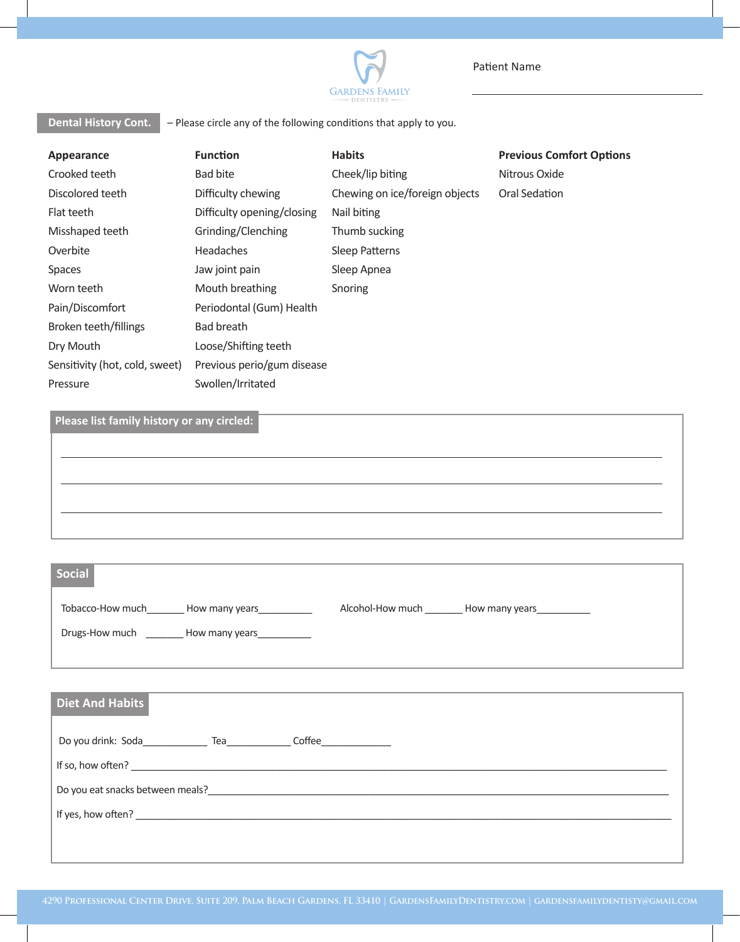

**Dental History Cont.**  $\overline{\phantom{a}}$  – Please circle any of the following conditions that apply to you.

Patient Name

| Appearance                                 | <b>Function</b>            | <b>Habits</b>                  | <b>Previous Comfort Options</b> |  |
|--------------------------------------------|----------------------------|--------------------------------|---------------------------------|--|
| Crooked teeth                              | <b>Bad bite</b>            | Cheek/lip biting               | Nitrous Oxide                   |  |
| Discolored teeth                           | Difficulty chewing         | Chewing on ice/foreign objects | Oral Sedation                   |  |
| Flat teeth                                 | Difficulty opening/closing | Nail biting                    |                                 |  |
| Misshaped teeth                            | Grinding/Clenching         | Thumb sucking                  |                                 |  |
| Overbite                                   | <b>Headaches</b>           | <b>Sleep Patterns</b>          |                                 |  |
| Spaces                                     | Jaw joint pain             | Sleep Apnea                    |                                 |  |
| Worn teeth                                 | Mouth breathing            | Snoring                        |                                 |  |
| Pain/Discomfort                            | Periodontal (Gum) Health   |                                |                                 |  |
| Broken teeth/fillings                      | Bad breath                 |                                |                                 |  |
| Dry Mouth                                  | Loose/Shifting teeth       |                                |                                 |  |
| Sensitivity (hot, cold, sweet)             | Previous perio/gum disease |                                |                                 |  |
| Pressure                                   | Swollen/Irritated          |                                |                                 |  |
|                                            |                            |                                |                                 |  |
| Please list family history or any circled: |                            |                                |                                 |  |
|                                            |                            |                                |                                 |  |
|                                            |                            |                                |                                 |  |
|                                            |                            |                                |                                 |  |
|                                            |                            |                                |                                 |  |

| Social                             |                                      |
|------------------------------------|--------------------------------------|
| Tobacco-How much<br>How many years | Alcohol-How much<br>_How many years_ |
| Drugs-How much<br>How many years   |                                      |
|                                    |                                      |
|                                    |                                      |

| <b>Diet And Habits</b>           |
|----------------------------------|
| <b>Coffee Coffee</b>             |
| If so, how often?                |
| Do you eat snacks between meals? |
| If yes, how often?               |
|                                  |